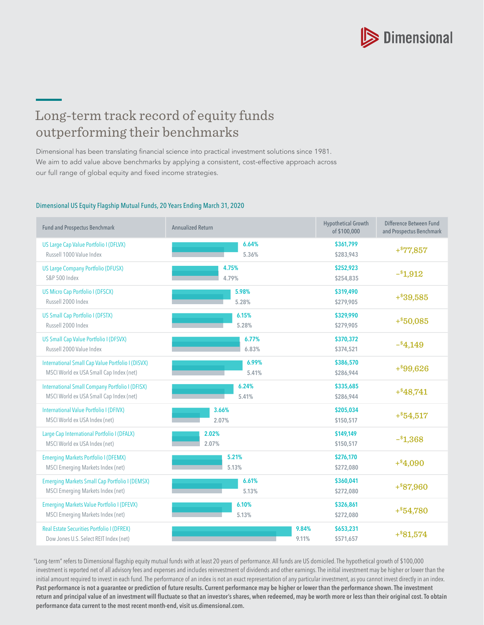

## Long-term track record of equity funds outperforming their benchmarks

Dimensional has been translating financial science into practical investment solutions since 1981. We aim to add value above benchmarks by applying a consistent, cost-effective approach across our full range of global equity and fixed income strategies.

## Dimensional US Equity Flagship Mutual Funds, 20 Years Ending March 31, 2020

| <b>Fund and Prospectus Benchmark</b>                   | <b>Annualized Return</b> | <b>Hypothetical Growth</b><br>of \$100,000 | Difference Between Fund<br>and Prospectus Benchmark |  |
|--------------------------------------------------------|--------------------------|--------------------------------------------|-----------------------------------------------------|--|
| US Large Cap Value Portfolio I (DFLVX)                 | 6.64%                    | \$361,799                                  | $+$ $877,857$                                       |  |
| Russell 1000 Value Index                               | 5.36%                    | \$283,943                                  |                                                     |  |
| <b>US Large Company Portfolio (DFUSX)</b>              | 4.75%                    | \$252,923                                  | $-$ \$1,912                                         |  |
| S&P 500 Index                                          | 4.79%                    | \$254,835                                  |                                                     |  |
| <b>US Micro Cap Portfolio I (DFSCX)</b>                | 5.98%                    | \$319,490                                  | $+$ \$39,585                                        |  |
| Russell 2000 Index                                     | 5.28%                    | \$279,905                                  |                                                     |  |
| <b>US Small Cap Portfolio I (DFSTX)</b>                | 6.15%                    | \$329,990                                  | $+$ \$50,085                                        |  |
| Russell 2000 Index                                     | 5.28%                    | \$279,905                                  |                                                     |  |
| US Small Cap Value Portfolio I (DFSVX)                 | 6.77%                    | \$370,372                                  | $-$ <sup>\$</sup> 4,149                             |  |
| Russell 2000 Value Index                               | 6.83%                    | \$374,521                                  |                                                     |  |
| International Small Cap Value Portfolio I (DISVX)      | 6.99%                    | \$386,570                                  | $+$ \$99,626                                        |  |
| MSCI World ex USA Small Cap Index (net)                | 5.41%                    | \$286,944                                  |                                                     |  |
| <b>International Small Company Portfolio I (DFISX)</b> | 6.24%                    | \$335,685                                  | $+$ \$48,741                                        |  |
| MSCI World ex USA Small Cap Index (net)                | 5.41%                    | \$286,944                                  |                                                     |  |
| International Value Portfolio I (DFIVX)                | 3.66%                    | \$205,034                                  | $+$ $54,517$                                        |  |
| MSCI World ex USA Index (net)                          | 2.07%                    | \$150,517                                  |                                                     |  |
| Large Cap International Portfolio I (DFALX)            | 2.02%                    | \$149,149                                  | $-$ \$1,368                                         |  |
| MSCI World ex USA Index (net)                          | 2.07%                    | \$150,517                                  |                                                     |  |
| <b>Emerging Markets Portfolio I (DFEMX)</b>            | 5.21%                    | \$276,170                                  | $+$ \$4,090                                         |  |
| MSCI Emerging Markets Index (net)                      | 5.13%                    | \$272,080                                  |                                                     |  |
| <b>Emerging Markets Small Cap Portfolio I (DEMSX)</b>  | 6.61%                    | \$360,041                                  | $+$ \$87,960                                        |  |
| MSCI Emerging Markets Index (net)                      | 5.13%                    | \$272,080                                  |                                                     |  |
| <b>Emerging Markets Value Portfolio I (DFEVX)</b>      | 6.10%                    | \$326,861                                  | $+$ $54,780$                                        |  |
| MSCI Emerging Markets Index (net)                      | 5.13%                    | \$272,080                                  |                                                     |  |
| <b>Real Estate Securities Portfolio I (DFREX)</b>      | 9.84%                    | \$653,231                                  | $+$ \$81,574                                        |  |
| Dow Jones U.S. Select REIT Index (net)                 | 9.11%                    | \$571,657                                  |                                                     |  |

"Long-term" refers to Dimensional flagship equity mutual funds with at least 20 years of performance. All funds are US domiciled. The hypothetical growth of \$100,000 investment is reported net of all advisory fees and expenses and includes reinvestment of dividends and other earnings. The initial investment may be higher or lower than the initial amount required to invest in each fund. The performance of an index is not an exact representation of any particular investment, as you cannot invest directly in an index. Past performance is not a guarantee or prediction of future results. Current performance may be higher or lower than the performance shown. The investment return and principal value of an investment will fluctuate so that an investor's shares, when redeemed, may be worth more or less than their original cost. To obtain performance data current to the most recent month-end, visit [us.dimensional.com](http://us.dimensional.com).